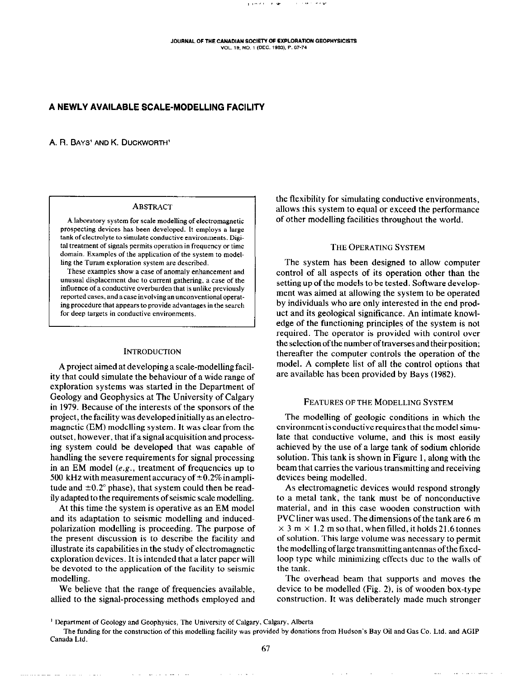/,..\_, ,v ,.,, \_,\_

# A NEWLY AVAILABLE SCALE-MODELLING FACILITY

A. R. BAYS<sup>1</sup> AND K. DUCKWORTH<sup>1</sup>

## ABSTRACT

A laboratory system for scale modelling of electromagnetic prospecling devices has been developed. It employs a large tank of electrolyte to simulate conductive environments. Digital treatment of signals permits operation in frequency or time domain. Examples of the application of the system to modelling the Turam exploration system are described.

These examples show a case of anomaly enhancement and unusual displacement due to current gathering, a case of the influence of a conductive overburden that is unlike previowly reported cases, and a case involving an unconventional operating procedure that appears to provide advantages in the search for deep targets in conductive environments.

#### INTRODUCTION

A project aimed at developing a scale-modelling facility that could simulate the behaviour of a wide range of exploration systems was started in the Department of Geology and Geophysics at The University of Calgary in 1979. Because of the interests of the sponsors of the project, the facility was developed initially as an electromagnetic (EM) modelling system. It was clear from the outset, however, that ifasignalacquisitionandprocessing system could be developed that was capable of handling the severe requirements for signal processing in an EM model  $(e.g.,$  treatment of frequencies up to 500 kHz with measurement accuracy of  $\pm 0.2\%$  in amplitude and  $\pm 0.2^{\circ}$  phase), that system could then be readily adapted to the requirements of seismic scale modelling.

At this time the system is operative as an EM model and its adaptation to seismic modelling and inducedpolarization modelling is proceeding. The purpose of the present discussion is to describe the facility and illustrate its capabilities in the study of electromagnetic exploration devices. It is intended that a later paper will be devoted to the application of the facility to seismic modelling.

We believe that the range of frequencies available, allied to the signal-processing methods employed and the flexibility for simulating conductive environments, allows this system to equal or exceed the performance of other modelling facilities throughout the world.

#### THE OPERATING SYSTEM

The system has been designed to allow computer control of all aspects of its operation other than the setting up of the models to be tested. Software development was aimed at allowing the system to be operated by individuals who are only interested in the end product and its geological significance. An intimate knowledge of the functioning principles of the system is not required. The operator is provided with control over the selection ofthe number of traverses and their position; thereafter the computer controls the operation of the model. A complete list of all the control options that are available has been provided by Bays (1982).

## FEATURES OF THE MODELLING SYSTEM

The modelling of geologic conditions in which the environment is conductive requires that the model simulate that conductive volume, and this is most easily achieved by the use of a large tank of sodium chloride solution. This tank is shown in Figure I, along with the beam that carries the various transmitting and receiving devices being modelled.

As electromagnetic devices would respond strongly to a metal tank, the tank must be of nonconductive material, and in this case wooden construction with PVC liner was used. The dimensions ofthe tank are 6 m  $\times$  3 m  $\times$  1.2 m so that, when filled, it holds 21.6 tonnes of solution. This large volume was necessary to permit the modelling of large transmitting antennas of the fixedloop type while minimizing effects due to the walls of the tank.

The overhead beam that supports and moves the device to be modelled (Fig. 2), is of wooden box-type construction. It was deliberately made much stronger

.., ,. ,.~~,

**All and State Control** 

<sup>&</sup>lt;sup>1</sup> Department of Geology and Geophysics, The University of Calgary, Calgary, Alberta

The funding for the constmction of this modelling facility was provided by donations from Hudson's Bay Oil and Gas Co. Ltd. and AGIP Canada Ltd.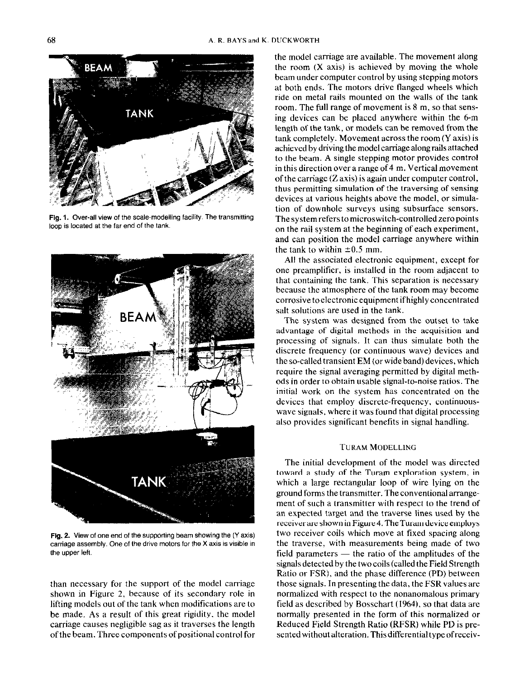

Fig. 1. Over-all view of the scale-modelling facility. The transmitting loop is located at the far end of the tank.



Fig. 2. View of one end of the supporting beam showing the (Y axis) carriage assembly. One of the drive motors for the X axis is visible in the upper left.

than necessary for the support of the model carriage shown in Figure 2, because of its secondary role in lifting models out of the tank when modifications are to be made. As a result of this great rigidity, the model carriage causes negligible sag as it traverses the length ofthe beam. Three components of positional control for

the model carriage are available. The movement along the room (X axis) is achieved by moving the whole beam under computer control by using stepping motors at both ends. The motors drive flanged wheels which ride on metal rails mounted on the walls of the tank room. The full range of movement is 8 m, so that sensing devices can be placed anywhere within the 6-m length of the tank, or models can be removed from the tank completely. Movement across the room (Y axis) is achieved by driving the model carriage along rails attached to the beam. A single stepping motor provides control in this direction over a range of  $4 \text{ m}$ . Vertical movement of the carriage (Z axis) is again under computer control, thus permitting simulation of the traversing of sensing devices at various heights above the model, or simulation of downhole surveys using subsurface sensors. The system refers to microswitch-controlled zero points on the rail system at the beginning of each experiment, and can position the model carriage anywhere within the tank to within  $\pm 0.5$  mm.

All the associated electronic equipment, except for one preamplifier, is installed in the room adjacent to that containing the tank. This separation is necessary because the atmosphere of the tank room may become corrosivetoelectronicequipment ifhighlyconcentrated salt solutions are used in the tank.

The system was designed from the outset to take advantage of digital methods in the acquisition and processing of signals. It can thus simulate both the discrete frequency (OF continuous wave) devices and the so-called transient EM (orwide band) devices, which require the signal averaging permitted by digital methods in order to obtain usable signal-to-noise ratios. The initial work on the system has concentrated on the devices that employ discrete-frequency, continuouswave signals, where it was found that digital processing also provides significant benefits in signal handling.

### TURAM MODELLING

The initial development of the model was directed toward a study of the Turam exploration system, in which a large rectangular loop of wire lying on the ground forms the transmitter. The conventional arrangement of such a transmitter with respect to the trend of an expected target and the traverse lines used by the receiverare shown in Figure 4. The Turam device employs two receiver coils which move at fixed spacing along the traverse, with measurements being made of two field parameters  $-$  the ratio of the amplitudes of the signals detected by the twocoils (called the Field Strength Ratio or FSR), and the phase difference (PD) between those signals. In presenting the data, the FSR values are normalized with respect to the nonanomalous primary field as described by Bosschart (1964). so that data are normally presented in the form of this normalized or Reduced Field Strength Ratio (RFSR) while PD is presented without alteration. This differential type of receiv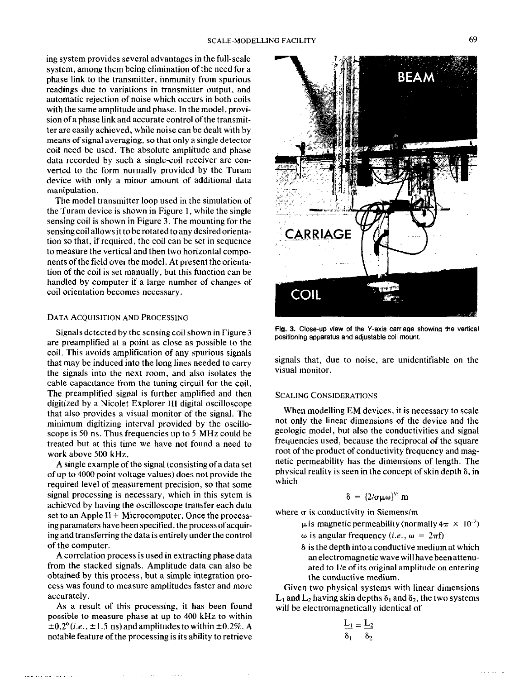ing system provides several advantages in the full-scale system, among them being elimination of the need for a phase link to the transmitter, immunity from spurious readings due to variations in transmitter output, and automatic rejection of noise which occurs in both coils with the same amplitude and phase. In the model, provision of a phase link and accurate control of the transmitter are easily achieved, while noise can be dealt with by means of signal averaging, so that only a single detector coil need be used. The absolute amplitude and phase data recorded by such a single-coil receiver are converted to the form normally provided by the Turam device with only a minor amount of additional data manipulation.

The model transmitter loop used in the simulation of the Turam device is shown in Figure 1, while the single sensing coil is shown in Figure 3. The mounting for the sensing coil allows it to be rotated to any desired orientation so that, if required, the coil can be set in sequence to measure the vertical and then two horizontal components of the field over the model. At present the orientation of the coil is set manually, but this function can be handled by computer if a large number of changes of coil orientation becomes necessary.

#### DATA ACQUISITION AND PROCESSING

Signals detected by the sensing coil shown in Figure 3 are preamplitied at a point as close as possible to the coil. This avoids amplification of any spurious signals that may be induced into the long lines needed to carry the signals into the next room, and also isolates the cable capacitance from the tuning circuit for the coil. The preamplitied signal is further amplified and then digitized by a Nicolet Explorer III digital oscilloscope that also provides a visual monitor of the signal. The minimum digitizing interval provided by the oscilloscope is 50 ns. Thus frequencies up to 5 MHz could be treated but at this time we have not found a need to work above 500 kHz.

A single example ofthe signal (consistingofadataset of up to 4000 point voltage values) does not provide the required level of measurement precision, so that some signal processing is necessary, which in this sytem is achieved by having the oscilloscope transfer each data set to an Apple  $II + Microcomputer$ . Once the processing paramaters have been specified, the process of acquiring and transferring the data is entirely under the control of the computer.

A correlation process is used in extracting phase data from the stacked signals. Amplitude data can also be obtained by this process, but a simple integration process was found to measure amplitudes faster and more accurately.

As a result of this processing, it has been found possible to measure phase at up to 400 kHz to within  $\pm 0.2^{\circ}$  (i.e.,  $\pm 1.5$  ns) and amplitudes to within  $\pm 0.2\%$ . A notable feature of the processing is its ability to retrieve



Flg. 3. Close-up view of the Y-axis carriage showing the vertical positioning apparatus and adjustable coil mount.

signals that, due to noise, are unidentifiable on the visual monitor.

## SCALING CONSIDERATIONS

When modelling EM devices, it is necessary to scale not only the linear dimensions of the device and the geologic model, but also the conductivities and signal frequencies used, because the reciprocal of the square root of the product of conductivity frequency and magnetic permeability has the dimensions of length. The physical reality is seen in the concept of skin depth 6, in which

$$
\delta = \{2/\sigma\mu\omega\}^{1/2} \text{ m}
$$

where  $\sigma$  is conductivity in Siemens/m

- $\mu$  is magnetic permeability (normally  $4\pi \times 10^{-7}$ )
- ω is angular frequency (*i.e.*, ω =  $2πf$ )
- 6 is the depth into a conductive medium at which an electromagnetic wave will have been attenuated to 1/e of its original amplitude on entering the conductive medium.

Given two physical systems with linear dimensions  $L_1$  and  $L_2$  having skin depths  $\delta_1$  and  $\delta_2$ , the two systems will be electromagnetically identical of

$$
\frac{L_1}{\delta_1} = \frac{L_2}{\delta_2}
$$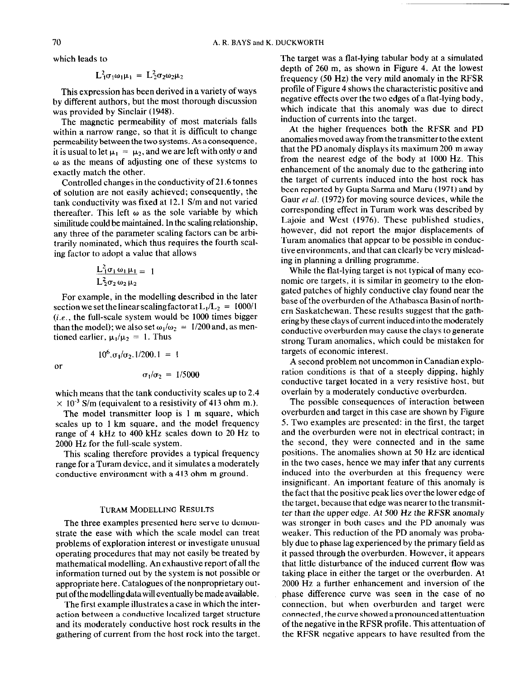which leads to

$$
L_1^2 \sigma_1 \omega_1 \mu_1 = L_2^2 \sigma_2 \omega_2 \mu_2
$$

This expression has been derived in a variety of ways by different authors, but the most thorough discussion was provided by Sinclair (1948).

The magnetic permeability of most materials falls within a narrow range, so that it is difficult to change permeability between the two systems. As aconsequence, it is usual to let  $\mu_1 = \mu_2$ , and we are left with only  $\sigma$  and  $\omega$  as the means of adjusting one of these systems to exactly match the other.

Controlled changes in the conductivity of 21.6 tonnes of solution are not easily achieved; consequently, the tank conductivity was fixed at 12.1 S/m and not varied thereafter. This left  $\omega$  as the sole variable by which similitude could be maintained. In the scaling relationship, any three of the parameter scaling factors can be arbitrarily nominated, which thus requires the fourth scaling factor to adopt a value that allows

$$
\frac{L_1^2 \sigma_1 \omega_1 \mu_1}{L_2^2 \sigma_2 \omega_2 \mu_2} = 1
$$

For example, in the modelling described in the later section we set the linear scaling factor at  $L_1/L_2 = 1000/1$  $(i.e.,$  the full-scale system would be 1000 times bigger than the model); we also set  $\omega_1/\omega_2 = 1/200$  and, as mentioned earlier,  $\mu_1/\mu_2 = 1$ . Thus

 $10^6$ , $\sigma_1/\sigma_2$ ,  $1/200$ ,  $1 = 1$ 

or

$$
\sigma_1/\sigma_2 = 1/5000
$$

which means that the tank conductivity scales up to 2.4  $\times$  10<sup>-3</sup> S/m (equivalent to a resistivity of 413 ohm m.).

The model transmitter loop is I m square, which scales up to 1 km square, and the model frequency range of 4 kHz to 400 kHz scales down to 20 Hz to 2000 Hz for the full-scale system.

This scaling therefore provides a typical frequency range for a Turam device, and it simulates a moderately conductive environment with a 413 ohm m ground.

### TURAM MODELLING RESULTS

The three examples presented here serve to demonstrate the ease with which the scale model can treat problems of exploration interest or investigate unusual operating procedures that may not easily be treated by mathematical modelling. An exhaustive report of all the information turned out by the system is not possible or appropriate here. Catalogues of the nonproprietary output ofthemodellingdatawilleventually bemadeavailable.

The first example illustrates a case in which the interaction between a conductive localized target structure and its moderately conductive host rock results in the gathering of current from the host rock into the target.

The target was a flat-lying tabular body at a simulated depth of 260 m, as shown in Figure 4. At the lowest frequency (50 Hz) the very mild anomaly in the RFSR profile of Figure 4 shows the characteristic positive and negative effects over the two edges of a flat-lying body, which indicate that this anomaly was due to direct induction of currents into the target.

At the higher frequences both the RFSR and PD anomalies moved away from the transmitter to the extent that the PD anomaly displays its maximum 200 m away from the nearest edge of the body at 1000 Hz. This enhancement of the anomaly due to the gathering into the target of currents induced into the host rock has been reported by Gupta Sarma and Maru (1971) and by Gaur *et al.* (1972) for moving source devices, while the corresponding effect in Turam work was described by Lajoie and West (1976). These published studies, however, did not report the major displacements of Turam anomalies that appear to be possible in conductive environments, and that can clearly be very misleading in planning a drilling programme.

While the flat-lying target is not typical of many economic ore targets, it is similar in geometry to the elongated patches of highly conductive clay found near the base of the overburden of the Athabasca Basin of northern Saskatchewan. These results suggest that the gathering by these clays of current induced into the moderately conductive overburden may cause the clays to generate strong Turam anomalies, which could be mistaken for targets of economic interest.

A second problem not uncommon in Canadian exploration conditions is that of a steeply dipping, highly conductive target located in a very resistive host, but overlain by a moderately conductive overburden.

The possible consequences of interaction between overburden and target in this case are shown by Figure 5. Two examples are presented: in the first, the target and the overburden were not in electrical contract; in the second, they were connected and in the same positions. The anomalies shown at 50 Hz are identical in the two cases, hence we may infer that any currents induced into the overburden at this frequency were insignificant. An important feature of this anomaly is the fact that the positive peak lies over the lower edge of the target, because that edge was nearer to the transmitter than the upper edge. At 500 Hz the RFSR anomaly was stronger in both cases and the PD anomaly was weaker. This reduction of the PD anomaly was probably due to phase lag experienced by the primary field as it passed through the overburden. However, it appears that little disturbance of the induced current flow was taking place in either the target or the overburden. At 2000 Hz a further enhancement and inversion of the phase difference curve was seen in the case of no connection. but when overburden and target were connected, thecurveshowedapronouncedattentuation of the negative in the RFSR profile. This attentuation of the RFSR negative appears to have resulted from the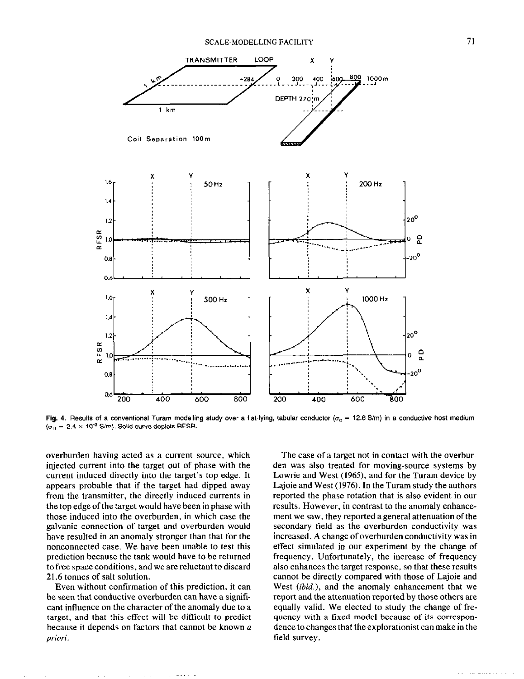

Fig. 4. Results of a conventional Turam modelling study over a flat-lying, tabular conductor ( $\sigma_c$  = 12.6 S/m) in a conductive host medium  $\sigma_H = 2.4 \times 10^{-3}$  S/m). Solid curve depicts RFSR.

overburden having acted as a current source, which injected current into the target out of phase with the current induced directly into the target's top edge. It appears probable that if the target had dipped away from the transmitter, the directly induced currents in the top edge of the target would have been in phase with those induced into the overburden, in which case the galvanic connection of target and overburden would have resulted in an anomaly stronger than that for the nonconnected case. We have been unable to test this prediction because the tank would have to be returned to free space conditions, and we are reluctant to discard 21.6 tonnes of salt solution.

Even without confirmation of this prediction, it can be seen that conductive overburden can have a significant influence on the character of the anomaly due to a target, and that this effect will be difficult to predict because it depends on factors that cannot be known a priori.

The case of a target not in contact with the overburden was also treated for moving-source systems by Lowrie and West (1965), and for the Turam device by Lajoie and West (1976). In the Turam study the authors reported the phase rotation that is also evident in our results. However, in contrast to the anomaly enhancement we saw, they reported a general attenuation of the secondary field as the overburden conductivity was increased. A change of overburden conductivity was in effect simulated in our experiment by the change of frequency. Unfortunately, the increase of frequency also enhances the target response, so that these results cannot be directly compared with those of Lajoie and West *(ibid.)*, and the anomaly enhancement that we report and the attenuation reported by those others are equally valid. We elected to study the change of frequency with a fixed model because of its correspondence to changes that the explorationist can make in the field survey.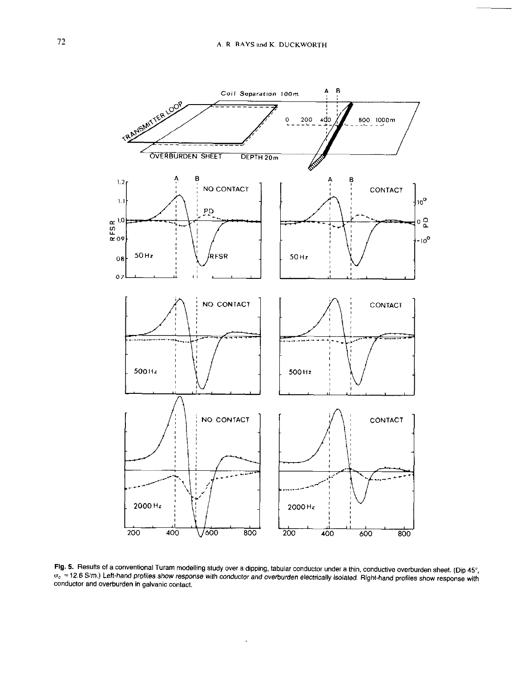

Fig. 5. Results of a conventional Turam modelling study over a dipping, tabular conductor under a thin, conductive overburden sheet. (Dip 45°,  $\sigma_c = 12.6$  S/m.) Left-hand profiles show response with conductor and overburden electrically isolated. Right-hand profiles show response with conductor and overburden electrically isolated. Right-hand profiles show respo conductor and overburden in galvanic contact.

 $\epsilon$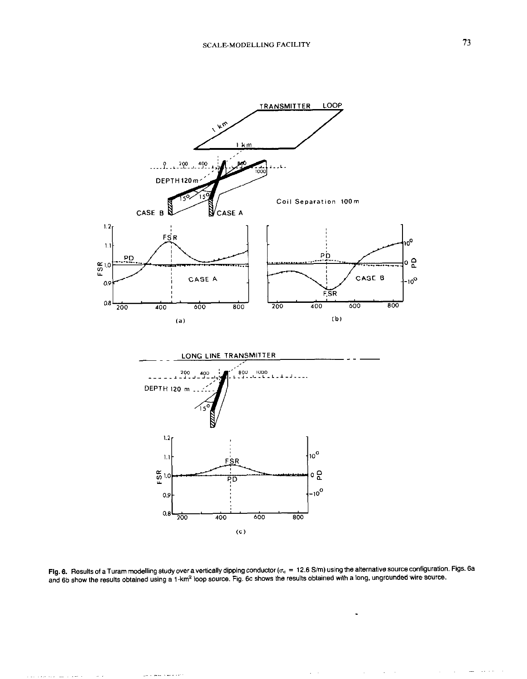

**Fig. 6.** Results of a Turam modelling study over a vertically dipping conductor ( $\sigma_{\rm c}$  = 12.6 S/m) using the alternative source configuration. Figs. 6a and 6b show the results obtained using a 1-km<sup>2</sup> loop source. Fig. 6c shows the results obtained with a long, ungrounded wire source.

وموعدها ستقرد للمر

والمحفاء السلب فالرواقية والالهاء

 $\mathcal{L}^{\text{max}}$ 

 $\tau = \tau$ 

 $\mathcal{A}^{\mathcal{A}}$ 

 $\mathcal{L}$ 

 $\cdots$  $\sim 10^{-1}$  km sec  $\cdot$ 

 $\epsilon$